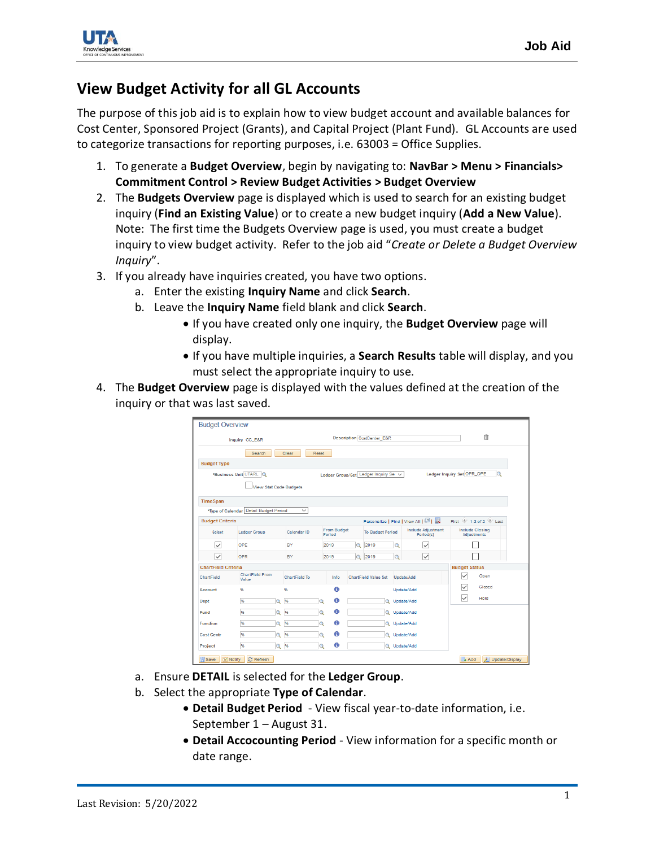

## **View Budget Activity for all GL Accounts**

The purpose of this job aid is to explain how to view budget account and available balances for Cost Center, Sponsored Project (Grants), and Capital Project (Plant Fund). GL Accounts are used to categorize transactions for reporting purposes, i.e. 63003 = Office Supplies.

- 1. To generate a **Budget Overview**, begin by navigating to: **NavBar > Menu > Financials> Commitment Control > Review Budget Activities > Budget Overview**
- 2. The **Budgets Overview** page is displayed which is used to search for an existing budget inquiry (**Find an Existing Value**) or to create a new budget inquiry (**Add a New Value**). Note: The first time the Budgets Overview page is used, you must create a budget inquiry to view budget activity. Refer to the job aid "*Create or Delete a Budget Overview Inquiry*".
- 3. If you already have inquiries created, you have two options.
	- a. Enter the existing **Inquiry Name** and click **Search**.
	- b. Leave the **Inquiry Name** field blank and click **Search**.
		- If you have created only one inquiry, the **Budget Overview** page will display.
		- If you have multiple inquiries, a **Search Results** table will display, and you must select the appropriate inquiry to use.
- 4. The **Budget Overview** page is displayed with the values defined at the creation of the inquiry or that was last saved.

| <b>Budget Overview</b>     |                                        |                   |                                            |          |          |                                       |          |                                                            |                                              |
|----------------------------|----------------------------------------|-------------------|--------------------------------------------|----------|----------|---------------------------------------|----------|------------------------------------------------------------|----------------------------------------------|
|                            | Inquiry CC_E&R                         |                   | 自<br><b>Description CostCenter_E&amp;R</b> |          |          |                                       |          |                                                            |                                              |
|                            | Search                                 | Clear             | Reset                                      |          |          |                                       |          |                                                            |                                              |
| <b>Budget Type</b>         |                                        |                   |                                            |          |          |                                       |          |                                                            |                                              |
|                            | *Business Unit UTARL                   |                   |                                            |          |          | Ledger Group/Set Ledger Inquiry Ser V |          |                                                            | Ledger Inquiry Set OPR_OPE                   |
|                            | <b>View Stat Code Budgets</b>          |                   |                                            |          |          |                                       |          |                                                            |                                              |
| <b>TimeSpan</b>            |                                        |                   |                                            |          |          |                                       |          |                                                            |                                              |
|                            | *Type of Calendar Detail Budget Period | $\checkmark$      |                                            |          |          |                                       |          |                                                            |                                              |
| <b>Budget Criteria</b>     |                                        |                   |                                            |          |          |                                       |          | Personalize   Find   View All   $\sqrt{2}$   $\frac{1}{2}$ | First 1-2 of 2 2 Last                        |
| <b>Select</b>              | <b>Ledger Group</b><br>Calendar ID     |                   | <b>From Budget</b><br>Period               |          |          | <b>To Budget Period</b>               |          | <b>Include Adiustment</b><br>Period(s)                     | <b>Include Closing</b><br><b>Adjustments</b> |
| $\checkmark$               | OPE                                    | 2019<br><b>BY</b> |                                            | $\alpha$ | 2019     | $\alpha$                              | ▽        |                                                            |                                              |
| $\overline{\check{}}$      | OPR                                    | <b>BY</b>         |                                            | 2019     | $\alpha$ | 2019                                  | $\alpha$ | $\overline{\vee}$                                          |                                              |
| <b>ChartField Criteria</b> |                                        |                   |                                            |          |          |                                       |          |                                                            | <b>Budget Status</b>                         |
| ChartField                 | <b>ChartField From</b><br>Value        | ChartField To     |                                            | Info     |          | <b>ChartField Value Set</b>           |          | Update/Add                                                 | ⋉<br>Open                                    |
| Account                    | 96                                     | 96                |                                            | A        |          |                                       |          | Update/Add                                                 | ▽<br>Closed                                  |
| <b>Dept</b>                | %                                      | 96<br>Ο           | Q                                          | 0        |          | Θ                                     |          | Update/Add                                                 | ▽<br>Hold                                    |
| Fund                       | %                                      | 96                | Q                                          | 0        |          | Q                                     |          | Update/Add                                                 |                                              |
| <b>Function</b>            | 96                                     | 96<br>Θ           | Q                                          | A        |          | Q                                     |          | Update/Add                                                 |                                              |
| Cost Centr                 | 96                                     | 96<br>Q           | Ó                                          | Θ        |          | Ō                                     |          | Update/Add                                                 |                                              |
| Project                    | 96                                     | 96<br>Q           | Q                                          | Θ        |          |                                       |          | Q Update/Add                                               |                                              |

- a. Ensure **DETAIL** is selected for the **Ledger Group**.
- b. Select the appropriate **Type of Calendar**.
	- **Detail Budget Period** View fiscal year-to-date information, i.e. September 1 – August 31.
	- **Detail Accocounting Period** View information for a specific month or date range.